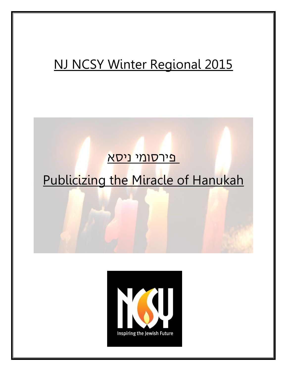# NJ NCSY Winter Regional 2015

# <mark>פירסומי ניסא</mark>

# Publicizing the Miracle of Hanukah

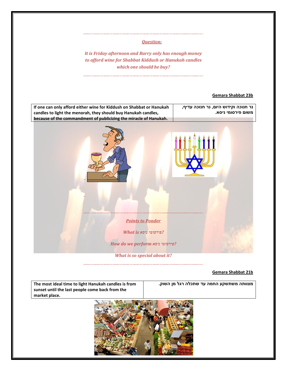## *Question:*

*It is Friday afternoon and Barry only has enough money to afford wine for Shabbat Kiddush or Hanukah candles which one should he buy?*

# **Gemara Shabbat 23b**



#### **Gemara Shabbat 21b**

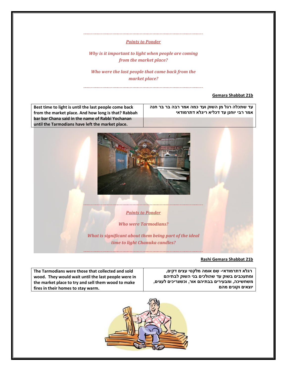#### *Points to Ponder*

*Why is it important to light when people are coming from the market place?*

*Who were the last people that came back from the market place?* 

## **Gemara Shabbat 21b**

**Best time to light is until the last people come back from the market place. And how long is that? Rabbah bar bar Chana said in the name of Rabbi Yochanan until the Tarmodians have left the market place.** 

**עד שתכלה רגל מן השוק ועד כמה אמר רבה בר בר חנה אמר רבי יוחנן עד דכליא ריגלא דתרמודאי**



*Points to Ponder*

*Who were Tarmodians?* 

*What is significant about them being part of the ideal time to light Chanuka candles?* 

# **Rashi Gemara Shabbat 21b**

| The Tarmodians were those that collected and sold   | רגלא דתרמודאי- שם אומה מלקטי עצים דקים,        |
|-----------------------------------------------------|------------------------------------------------|
| wood. They would wait until the last people were in | ומתעכבים בשוק עד שהולכים בני השוק לבתיהם       |
| the market place to try and sell them wood to make  | משחשיכה, ומבעירים בבתיהם אור, וכשצריכים לעצים, |
| fires in their homes to stay warm.                  | יוצאים וקונים מהם                              |